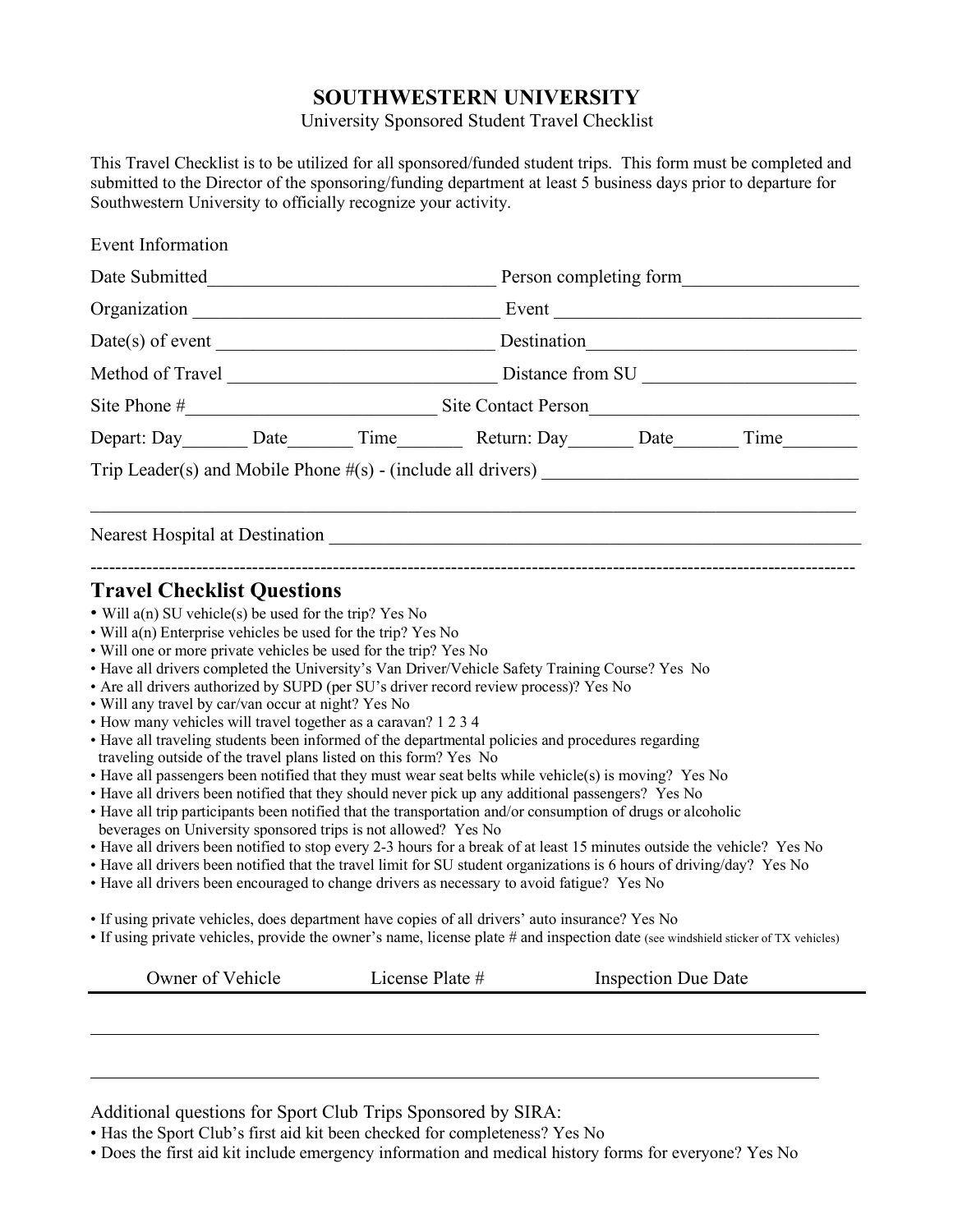## **SOUTHWESTERN UNIVERSITY**

University Sponsored Student Travel Checklist

This Travel Checklist is to be utilized for all sponsored/funded student trips. This form must be completed and submitted to the Director of the sponsoring/funding department at least 5 business days prior to departure for Southwestern University to officially recognize your activity.

Additional questions for Sport Club Trips Sponsored by SIRA:

• Has the Sport Club's first aid kit been checked for completeness? Yes No

• Does the first aid kit include emergency information and medical history forms for everyone? Yes No